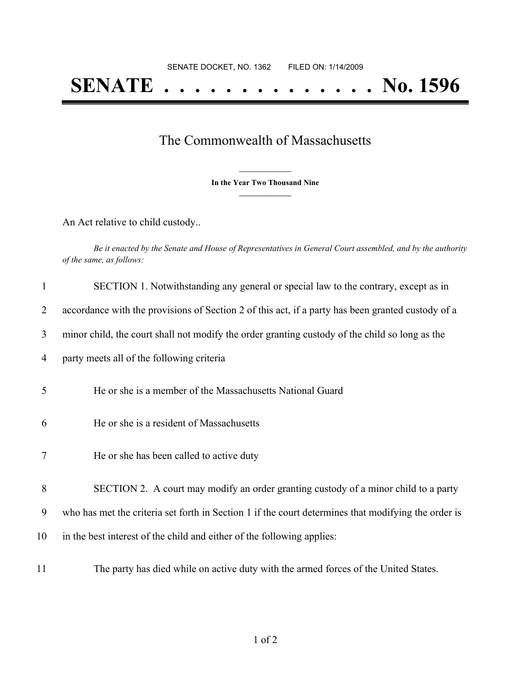## The Commonwealth of Massachusetts

**\_\_\_\_\_\_\_\_\_\_\_\_\_\_\_ In the Year Two Thousand Nine \_\_\_\_\_\_\_\_\_\_\_\_\_\_\_**

An Act relative to child custody..

Be it enacted by the Senate and House of Representatives in General Court assembled, and by the authority *of the same, as follows:*

| $\mathbf{1}$ | SECTION 1. Notwithstanding any general or special law to the contrary, except as in                 |
|--------------|-----------------------------------------------------------------------------------------------------|
| 2            | accordance with the provisions of Section 2 of this act, if a party has been granted custody of a   |
| 3            | minor child, the court shall not modify the order granting custody of the child so long as the      |
| 4            | party meets all of the following criteria                                                           |
| 5            | He or she is a member of the Massachusetts National Guard                                           |
| 6            | He or she is a resident of Massachusetts                                                            |
| 7            | He or she has been called to active duty                                                            |
| 8            | SECTION 2. A court may modify an order granting custody of a minor child to a party                 |
| 9            | who has met the criteria set forth in Section 1 if the court determines that modifying the order is |
| 10           | in the best interest of the child and either of the following applies:                              |
| 11           | The party has died while on active duty with the armed forces of the United States.                 |